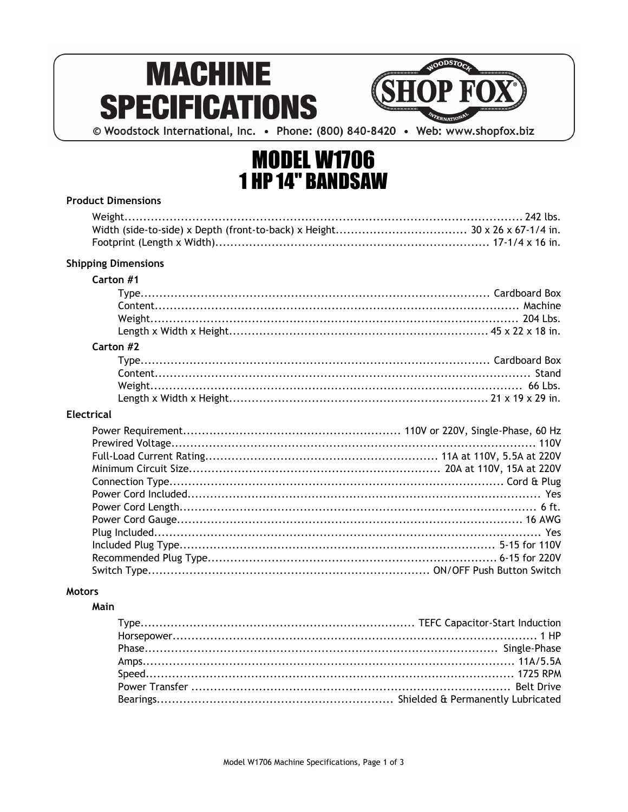# **MACHINE SPECIFICATIONS**



© Woodstock International, Inc. • Phone: (800) 840-8420 • Web: www.shopfox.biz

# **MODEL W1706 1 HP 14" BANDSAW**

| <b>Product Dimensions</b>  |
|----------------------------|
|                            |
|                            |
|                            |
| <b>Shipping Dimensions</b> |
| Carton #1                  |
|                            |
| Carton #2                  |
|                            |
| <b>Electrical</b>          |
|                            |
|                            |
|                            |
|                            |
|                            |
|                            |
|                            |
| Yes                        |
|                            |
|                            |
|                            |
| <b>Motors</b>              |

#### Main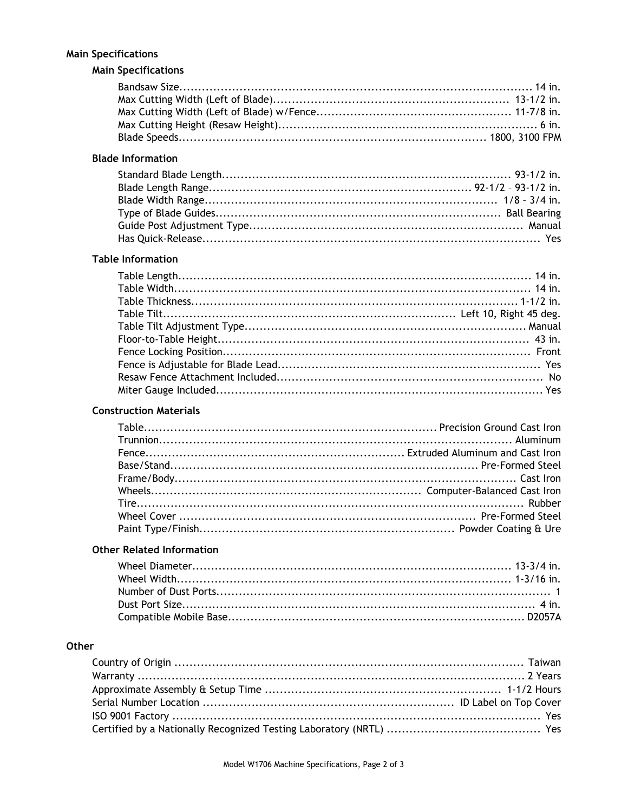### **Main Specifications**

## **Main Specifications**

#### **Blade Information**

#### **Table Information**

#### **Construction Materials**

#### **Other Related Information**

#### Other